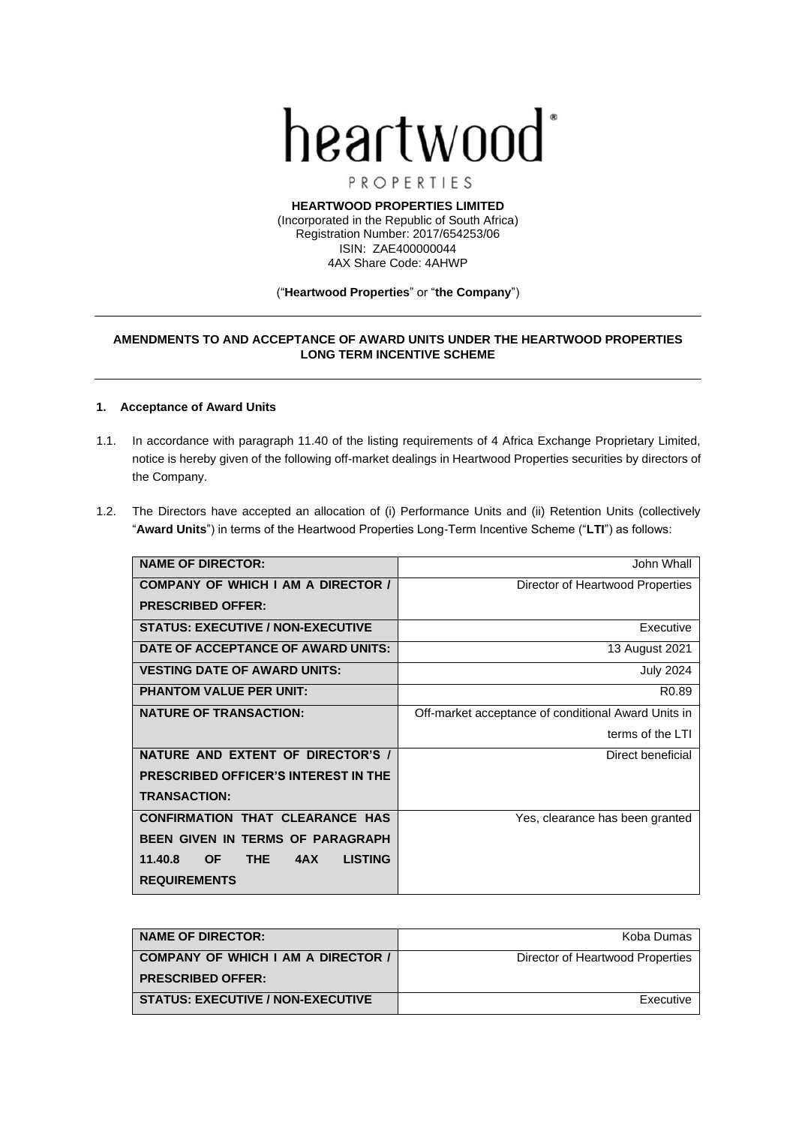

PROPERTIES

**HEARTWOOD PROPERTIES LIMITED** (Incorporated in the Republic of South Africa) Registration Number: 2017/654253/06 ISIN: ZAE400000044 4AX Share Code: 4AHWP

#### ("**Heartwood Properties**" or "**the Company**")

# **AMENDMENTS TO AND ACCEPTANCE OF AWARD UNITS UNDER THE HEARTWOOD PROPERTIES LONG TERM INCENTIVE SCHEME**

### **1. Acceptance of Award Units**

- 1.1. In accordance with paragraph 11.40 of the listing requirements of 4 Africa Exchange Proprietary Limited, notice is hereby given of the following off-market dealings in Heartwood Properties securities by directors of the Company.
- 1.2. The Directors have accepted an allocation of (i) Performance Units and (ii) Retention Units (collectively "**Award Units**") in terms of the Heartwood Properties Long-Term Incentive Scheme ("**LTI**") as follows:

| <b>NAME OF DIRECTOR:</b>                                    | John Whall                                          |
|-------------------------------------------------------------|-----------------------------------------------------|
| <b>COMPANY OF WHICH I AM A DIRECTOR /</b>                   | Director of Heartwood Properties                    |
| <b>PRESCRIBED OFFER:</b>                                    |                                                     |
| <b>STATUS: EXECUTIVE / NON-EXECUTIVE</b>                    | Executive                                           |
| DATE OF ACCEPTANCE OF AWARD UNITS:                          | 13 August 2021                                      |
| <b>VESTING DATE OF AWARD UNITS:</b>                         | <b>July 2024</b>                                    |
| <b>PHANTOM VALUE PER UNIT:</b>                              | R <sub>0.89</sub>                                   |
| <b>NATURE OF TRANSACTION:</b>                               | Off-market acceptance of conditional Award Units in |
|                                                             | terms of the LTI                                    |
| NATURE AND EXTENT OF DIRECTOR'S /                           | Direct beneficial                                   |
| <b>PRESCRIBED OFFICER'S INTEREST IN THE</b>                 |                                                     |
| <b>TRANSACTION:</b>                                         |                                                     |
| <b>CONFIRMATION THAT CLEARANCE HAS</b>                      | Yes, clearance has been granted                     |
| <b>BEEN GIVEN IN TERMS OF PARAGRAPH</b>                     |                                                     |
| <b>THE</b><br><b>LISTING</b><br>11.40.8<br><b>OF</b><br>4AX |                                                     |
| <b>REQUIREMENTS</b>                                         |                                                     |

| <b>NAME OF DIRECTOR:</b>                 | Koba Dumas                       |
|------------------------------------------|----------------------------------|
| COMPANY OF WHICH I AM A DIRECTOR /       | Director of Heartwood Properties |
| <b>PRESCRIBED OFFER:</b>                 |                                  |
| <b>STATUS: EXECUTIVE / NON-EXECUTIVE</b> | Executive                        |